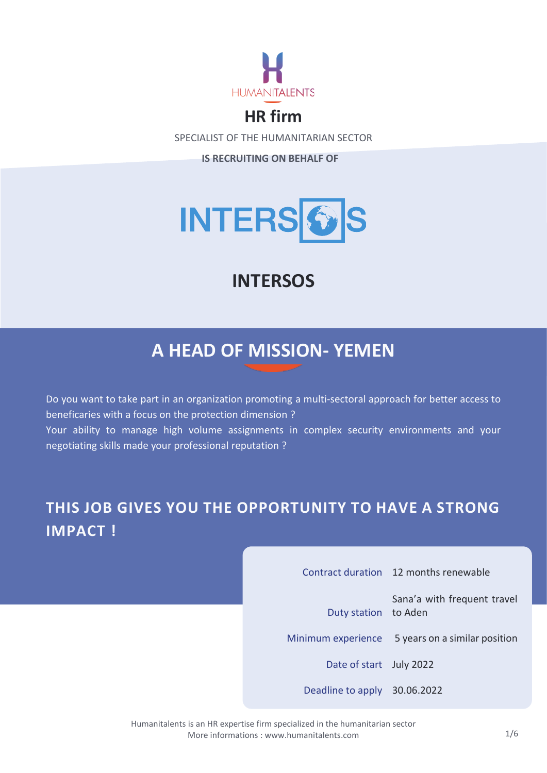

# **HR firm**

SPECIALIST OF THE HUMANITARIAN SECTOR

**IS RECRUITING ON BEHALF OF**



# **INTERSOS**

# **A HEAD OF MISSION- YEMEN**

Do you want to take part in an organization promoting a multi-sectoral approach for better access to beneficaries with a focus on the protection dimension ? Your ability to manage high volume assignments in complex security environments and your negotiating skills made your professional reputation ?

# **THIS JOB GIVES YOU THE OPPORTUNITY TO HAVE A STRONG IMPACT !**

|                              | Contract duration 12 months renewable            |
|------------------------------|--------------------------------------------------|
| Duty station to Aden         | Sana'a with frequent travel                      |
|                              | Minimum experience 5 years on a similar position |
| Date of start July 2022      |                                                  |
| Deadline to apply 30.06.2022 |                                                  |

Humanitalents is an HR expertise firm specialized in the humanitarian sector More informations [: www.humanitalents.com](http://www.humanitalents.com/)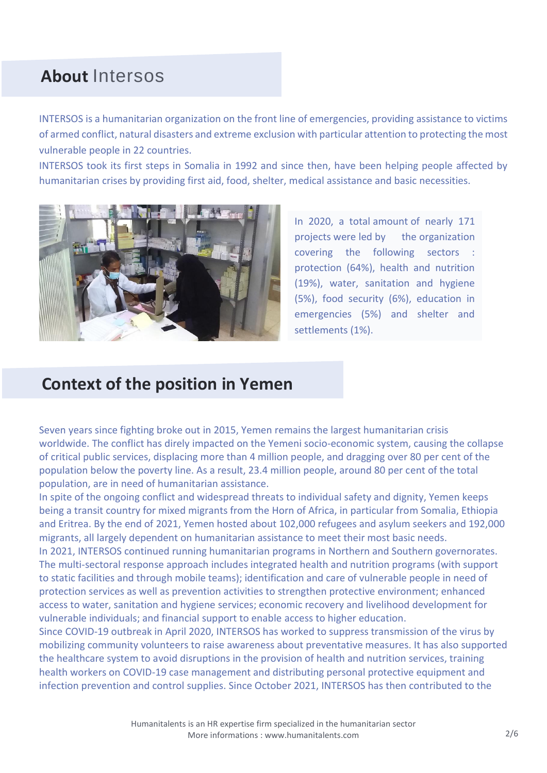# **About** Intersos

INTERSOS is a humanitarian organization on the front line of emergencies, providing assistance to victims of armed conflict, natural disasters and extreme exclusion with particular attention to protecting the most vulnerable people in 22 countries.

INTERSOS took its first steps in Somalia in 1992 and since then, have been helping people affected by humanitarian crises by providing first aid, food, shelter, medical assistance and basic necessities.



In 2020, a total amount of nearly 171 projects were led by the organization covering the following sectors : protection (64%), health and nutrition (19%), water, sanitation and hygiene (5%), food security (6%), education in emergencies (5%) and shelter and settlements (1%).

### **Context of the position in Yemen**

Seven years since fighting broke out in 2015, Yemen remains the largest humanitarian crisis worldwide. The conflict has direly impacted on the Yemeni socio-economic system, causing the collapse of critical public services, displacing more than 4 million people, and dragging over 80 per cent of the population below the poverty line. As a result, 23.4 million people, around 80 per cent of the total population, are in need of humanitarian assistance.

In spite of the ongoing conflict and widespread threats to individual safety and dignity, Yemen keeps being a transit country for mixed migrants from the Horn of Africa, in particular from Somalia, Ethiopia and Eritrea. By the end of 2021, Yemen hosted about 102,000 refugees and asylum seekers and 192,000 migrants, all largely dependent on humanitarian assistance to meet their most basic needs. In 2021, INTERSOS continued running humanitarian programs in Northern and Southern governorates. The multi-sectoral response approach includes integrated health and nutrition programs (with support to static facilities and through mobile teams); identification and care of vulnerable people in need of protection services as well as prevention activities to strengthen protective environment; enhanced access to water, sanitation and hygiene services; economic recovery and livelihood development for vulnerable individuals; and financial support to enable access to higher education.

Since COVID-19 outbreak in April 2020, INTERSOS has worked to suppress transmission of the virus by mobilizing community volunteers to raise awareness about preventative measures. It has also supported the healthcare system to avoid disruptions in the provision of health and nutrition services, training health workers on COVID-19 case management and distributing personal protective equipment and infection prevention and control supplies. Since October 2021, INTERSOS has then contributed to the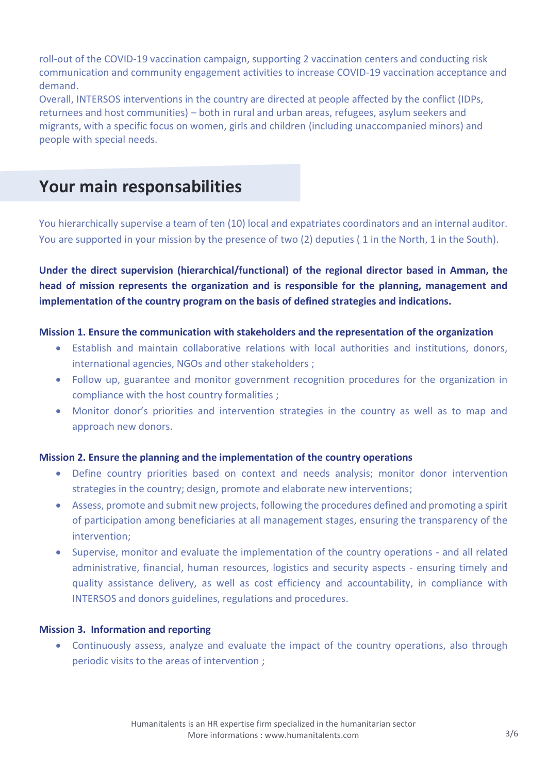roll-out of the COVID-19 vaccination campaign, supporting 2 vaccination centers and conducting risk communication and community engagement activities to increase COVID-19 vaccination acceptance and demand.

Overall, INTERSOS interventions in the country are directed at people affected by the conflict (IDPs, returnees and host communities) – both in rural and urban areas, refugees, asylum seekers and migrants, with a specific focus on women, girls and children (including unaccompanied minors) and people with special needs.

### **Your main responsabilities**

You hierarchically supervise a team of ten (10) local and expatriates coordinators and an internal auditor. You are supported in your mission by the presence of two (2) deputies ( 1 in the North, 1 in the South).

**Under the direct supervision (hierarchical/functional) of the regional director based in Amman, the head of mission represents the organization and is responsible for the planning, management and implementation of the country program on the basis of defined strategies and indications.**

#### **Mission 1. Ensure the communication with stakeholders and the representation of the organization**

- Establish and maintain collaborative relations with local authorities and institutions, donors, international agencies, NGOs and other stakeholders ;
- Follow up, guarantee and monitor government recognition procedures for the organization in compliance with the host country formalities ;
- Monitor donor's priorities and intervention strategies in the country as well as to map and approach new donors.

#### **Mission 2. Ensure the planning and the implementation of the country operations**

- Define country priorities based on context and needs analysis; monitor donor intervention strategies in the country; design, promote and elaborate new interventions;
- Assess, promote and submit new projects, following the procedures defined and promoting a spirit of participation among beneficiaries at all management stages, ensuring the transparency of the intervention;
- Supervise, monitor and evaluate the implementation of the country operations and all related administrative, financial, human resources, logistics and security aspects - ensuring timely and quality assistance delivery, as well as cost efficiency and accountability, in compliance with INTERSOS and donors guidelines, regulations and procedures.

#### **Mission 3. Information and reporting**

• Continuously assess, analyze and evaluate the impact of the country operations, also through periodic visits to the areas of intervention ;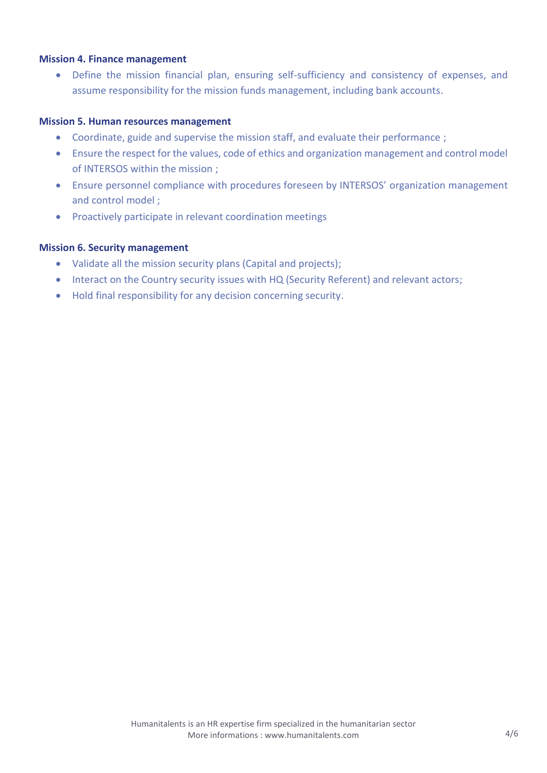#### **Mission 4. Finance management**

• Define the mission financial plan, ensuring self-sufficiency and consistency of expenses, and assume responsibility for the mission funds management, including bank accounts.

#### **Mission 5. Human resources management**

- Coordinate, guide and supervise the mission staff, and evaluate their performance ;
- Ensure the respect for the values, code of ethics and organization management and control model of INTERSOS within the mission ;
- Ensure personnel compliance with procedures foreseen by INTERSOS' organization management and control model ;
- Proactively participate in relevant coordination meetings

#### **Mission 6. Security management**

- Validate all the mission security plans (Capital and projects);
- Interact on the Country security issues with HQ (Security Referent) and relevant actors;
- Hold final responsibility for any decision concerning security.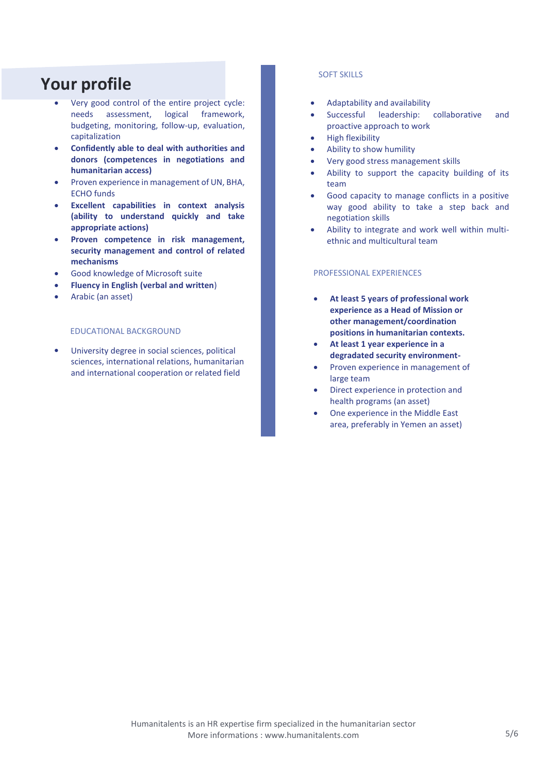# **Your profile**

- Very good control of the entire project cycle: needs assessment, logical framework, budgeting, monitoring, follow-up, evaluation, capitalization
- **Confidently able to deal with authorities and donors (competences in negotiations and humanitarian access)**
- Proven experience in management of UN, BHA, ECHO funds
- **Excellent capabilities in context analysis (ability to understand quickly and take appropriate actions)**
- **Proven competence in risk management, security management and control of related mechanisms**
- Good knowledge of Microsoft suite
- **Fluency in English (verbal and written**)
- Arabic (an asset)

#### EDUCATIONAL BACKGROUND

• University degree in social sciences, political sciences, international relations, humanitarian and international cooperation or related field

#### SOFT SKILLS

- Adaptability and availability
- Successful leadership: collaborative and proactive approach to work
- High flexibility
- Ability to show humility
- Very good stress management skills
- Ability to support the capacity building of its team
- Good capacity to manage conflicts in a positive way good ability to take a step back and negotiation skills
- Ability to integrate and work well within multiethnic and multicultural team

#### PROFESSIONAL EXPERIENCES

- **At least 5 years of professional work experience as a Head of Mission or other management/coordination positions in humanitarian contexts.**
- **At least 1 year experience in a degradated security environment-**
- Proven experience in management of large team
- Direct experience in protection and health programs (an asset)
- One experience in the Middle East area, preferably in Yemen an asset)